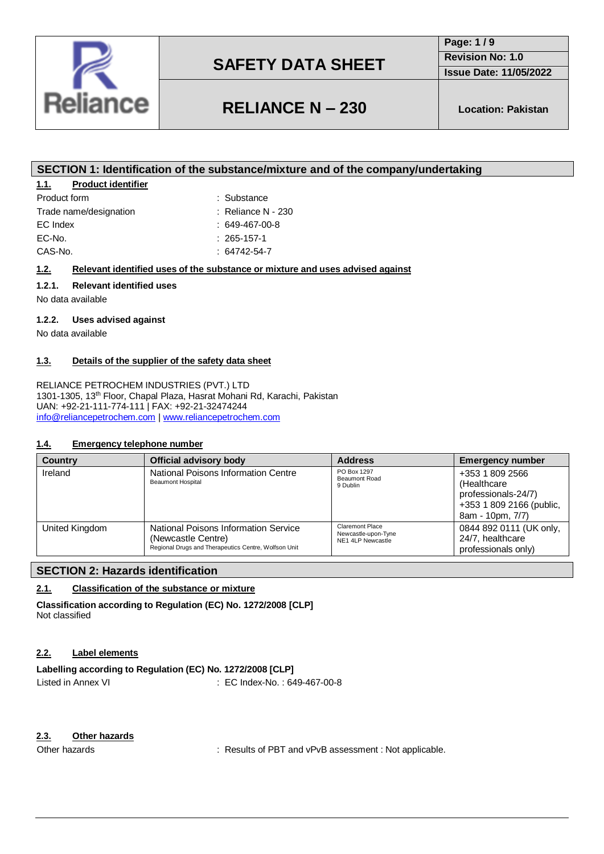

**Page: 1 / 9 Revision No: 1.0**

**Issue Date: 11/05/2022**

# **RELIANCE N – 230 Location: Pakistan**

### **SECTION 1: Identification of the substance/mixture and of the company/undertaking**

### **1.1. Product identifier**

| Product form           |  |
|------------------------|--|
| Trade name/designation |  |
| EC Index               |  |
| EC-No.                 |  |
| CAS-No.                |  |

 $\therefore$  Reliance N - 230  $: 649-467-00-8$ 

: Substance

- $: 265 157 1$ 
	- $: 64742 54 7$

### **1.2. Relevant identified uses of the substance or mixture and uses advised against**

### **1.2.1. Relevant identified uses**

No data available

### **1.2.2. Uses advised against**

No data available

### **1.3. Details of the supplier of the safety data sheet**

RELIANCE PETROCHEM INDUSTRIES (PVT.) LTD 1301-1305, 13th Floor, Chapal Plaza, Hasrat Mohani Rd, Karachi, Pakistan UAN: +92-21-111-774-111 | FAX: +92-21-32474244 [info@reliancepetrochem.com](mailto:info@reliancepetrochem.com) [| www.reliancepetrochem.com](http://www.reliancepetrochem.com/)

#### **1.4. Emergency telephone number**

| <b>Country</b> | Official advisory body                                                                                             | <b>Address</b>                                              | <b>Emergency number</b>                                                                                |
|----------------|--------------------------------------------------------------------------------------------------------------------|-------------------------------------------------------------|--------------------------------------------------------------------------------------------------------|
| Ireland        | National Poisons Information Centre<br><b>Beaumont Hospital</b>                                                    |                                                             | +353 1 809 2566<br>(Healthcare)<br>professionals-24/7)<br>+353 1 809 2166 (public,<br>8am - 10pm, 7/7) |
| United Kingdom | National Poisons Information Service<br>(Newcastle Centre)<br>Regional Drugs and Therapeutics Centre, Wolfson Unit | Claremont Place<br>Newcastle-upon-Tyne<br>NE1 4LP Newcastle | 0844 892 0111 (UK only,<br>24/7, healthcare<br>professionals only)                                     |

### **SECTION 2: Hazards identification**

### **2.1. Classification of the substance or mixture**

**Classification according to Regulation (EC) No. 1272/2008 [CLP]** Not classified

### **2.2. Label elements**

## **Labelling according to Regulation (EC) No. 1272/2008 [CLP]**

Listed in Annex VI : EC Index-No.: 649-467-00-8

### **2.3. Other hazards**

Other hazards **in the state of the COLOGY** in Results of PBT and vPvB assessment : Not applicable.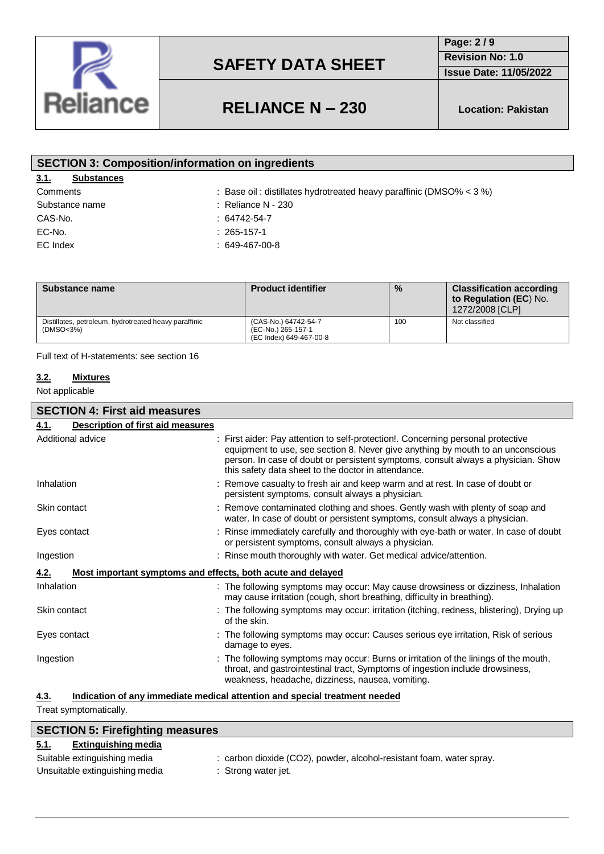

**Page: 2 / 9 Revision No: 1.0**

**Issue Date: 11/05/2022**

# **RELIANCE N – 230 Location: Pakistan**

| <b>SECTION 3: Composition/information on ingredients</b> |                                                                       |  |  |
|----------------------------------------------------------|-----------------------------------------------------------------------|--|--|
| 3.1.<br><b>Substances</b>                                |                                                                       |  |  |
| Comments                                                 | : Base oil: distillates hydrotreated heavy paraffinic (DMSO% $<$ 3 %) |  |  |
| Substance name                                           | $\therefore$ Reliance N - 230                                         |  |  |
| CAS-No.                                                  | $: 64742 - 54 - 7$                                                    |  |  |
| EC-No.                                                   | $: 265 - 157 - 1$                                                     |  |  |
| EC Index                                                 | $: 649 - 467 - 00 - 8$                                                |  |  |
|                                                          |                                                                       |  |  |

| Substance name                                                     | <b>Product identifier</b>                                             | $\frac{9}{6}$ | <b>Classification according</b><br>to Regulation (EC) No.<br>1272/2008 [CLP] |
|--------------------------------------------------------------------|-----------------------------------------------------------------------|---------------|------------------------------------------------------------------------------|
| Distillates, petroleum, hydrotreated heavy paraffinic<br>(DMSO<3%) | (CAS-No.) 64742-54-7<br>(EC-No.) 265-157-1<br>(EC Index) 649-467-00-8 | 100           | Not classified                                                               |

Full text of H-statements: see section 16

### **3.2. Mixtures**

Not applicable

| <b>SECTION 4: First aid measures</b>                                |                                                                                                                                                                                                                                                                                                                 |
|---------------------------------------------------------------------|-----------------------------------------------------------------------------------------------------------------------------------------------------------------------------------------------------------------------------------------------------------------------------------------------------------------|
| <b>Description of first aid measures</b><br>4.1.                    |                                                                                                                                                                                                                                                                                                                 |
| Additional advice                                                   | : First aider: Pay attention to self-protection!. Concerning personal protective<br>equipment to use, see section 8. Never give anything by mouth to an unconscious<br>person. In case of doubt or persistent symptoms, consult always a physician. Show<br>this safety data sheet to the doctor in attendance. |
| Inhalation                                                          | : Remove casualty to fresh air and keep warm and at rest. In case of doubt or<br>persistent symptoms, consult always a physician.                                                                                                                                                                               |
| Skin contact                                                        | : Remove contaminated clothing and shoes. Gently wash with plenty of soap and<br>water. In case of doubt or persistent symptoms, consult always a physician.                                                                                                                                                    |
| Eyes contact                                                        | : Rinse immediately carefully and thoroughly with eye-bath or water. In case of doubt<br>or persistent symptoms, consult always a physician.                                                                                                                                                                    |
| Ingestion                                                           | : Rinse mouth thoroughly with water. Get medical advice/attention.                                                                                                                                                                                                                                              |
| Most important symptoms and effects, both acute and delayed<br>4.2. |                                                                                                                                                                                                                                                                                                                 |
| Inhalation                                                          | : The following symptoms may occur: May cause drowsiness or dizziness, Inhalation<br>may cause irritation (cough, short breathing, difficulty in breathing).                                                                                                                                                    |
| Skin contact                                                        | : The following symptoms may occur: irritation (itching, redness, blistering), Drying up<br>of the skin.                                                                                                                                                                                                        |
| Eyes contact                                                        | : The following symptoms may occur: Causes serious eye irritation, Risk of serious<br>damage to eyes.                                                                                                                                                                                                           |
| Ingestion                                                           | : The following symptoms may occur: Burns or irritation of the linings of the mouth,<br>throat, and gastrointestinal tract, Symptoms of ingestion include drowsiness,<br>weakness, headache, dizziness, nausea, vomiting.                                                                                       |
| 4.3.                                                                | Indication of any immediate medical attention and special treatment needed                                                                                                                                                                                                                                      |

Treat symptomatically.

| <b>SECTION 5: Firefighting measures</b> |                                                                      |  |  |
|-----------------------------------------|----------------------------------------------------------------------|--|--|
| Extinguishing media<br><u>5.1.</u>      |                                                                      |  |  |
| Suitable extinguishing media            | : carbon dioxide (CO2), powder, alcohol-resistant foam, water spray. |  |  |
| Unsuitable extinguishing media          | : Strong water jet.                                                  |  |  |
|                                         |                                                                      |  |  |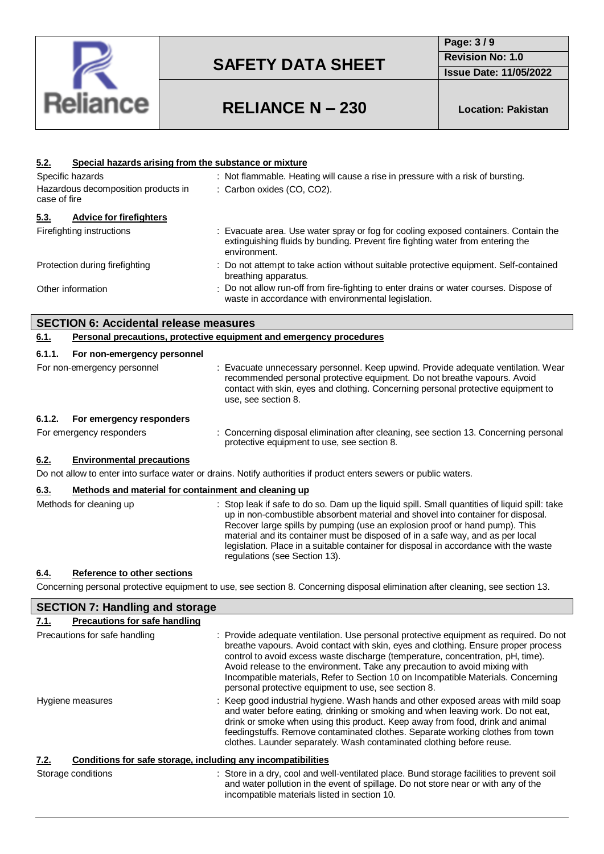

**Page: 3 / 9 Revision No: 1.0 Issue Date: 11/05/2022**

# **RELIANCE N – 230 Location: Pakistan**

| <u>5.2.</u>                            | Special hazards arising from the substance or mixture |                                                                                                                                                                                                                                                                                                                                                                                                                                                                           |
|----------------------------------------|-------------------------------------------------------|---------------------------------------------------------------------------------------------------------------------------------------------------------------------------------------------------------------------------------------------------------------------------------------------------------------------------------------------------------------------------------------------------------------------------------------------------------------------------|
| Specific hazards                       |                                                       | : Not flammable. Heating will cause a rise in pressure with a risk of bursting.                                                                                                                                                                                                                                                                                                                                                                                           |
| Hazardous decomposition products in    |                                                       | : Carbon oxides (CO, CO2).                                                                                                                                                                                                                                                                                                                                                                                                                                                |
| case of fire                           |                                                       |                                                                                                                                                                                                                                                                                                                                                                                                                                                                           |
| 5.3.<br><b>Advice for firefighters</b> |                                                       |                                                                                                                                                                                                                                                                                                                                                                                                                                                                           |
| Firefighting instructions              |                                                       | Evacuate area. Use water spray or fog for cooling exposed containers. Contain the<br>extinguishing fluids by bunding. Prevent fire fighting water from entering the<br>environment.                                                                                                                                                                                                                                                                                       |
| Protection during firefighting         |                                                       | Do not attempt to take action without suitable protective equipment. Self-contained<br>breathing apparatus.                                                                                                                                                                                                                                                                                                                                                               |
| Other information                      |                                                       | Do not allow run-off from fire-fighting to enter drains or water courses. Dispose of<br>waste in accordance with environmental legislation.                                                                                                                                                                                                                                                                                                                               |
|                                        | <b>SECTION 6: Accidental release measures</b>         |                                                                                                                                                                                                                                                                                                                                                                                                                                                                           |
| 6.1.                                   |                                                       | Personal precautions, protective equipment and emergency procedures                                                                                                                                                                                                                                                                                                                                                                                                       |
| 6.1.1.                                 | For non-emergency personnel                           |                                                                                                                                                                                                                                                                                                                                                                                                                                                                           |
| For non-emergency personnel            |                                                       | : Evacuate unnecessary personnel. Keep upwind. Provide adequate ventilation. Wear<br>recommended personal protective equipment. Do not breathe vapours. Avoid<br>contact with skin, eyes and clothing. Concerning personal protective equipment to<br>use, see section 8.                                                                                                                                                                                                 |
| 6.1.2.                                 | For emergency responders                              |                                                                                                                                                                                                                                                                                                                                                                                                                                                                           |
| For emergency responders               |                                                       | : Concerning disposal elimination after cleaning, see section 13. Concerning personal<br>protective equipment to use, see section 8.                                                                                                                                                                                                                                                                                                                                      |
| 6.2.                                   | <b>Environmental precautions</b>                      |                                                                                                                                                                                                                                                                                                                                                                                                                                                                           |
|                                        |                                                       | Do not allow to enter into surface water or drains. Notify authorities if product enters sewers or public waters.                                                                                                                                                                                                                                                                                                                                                         |
| 6.3.                                   | Methods and material for containment and cleaning up  |                                                                                                                                                                                                                                                                                                                                                                                                                                                                           |
| Methods for cleaning up                |                                                       | Stop leak if safe to do so. Dam up the liquid spill. Small quantities of liquid spill: take<br>up in non-combustible absorbent material and shovel into container for disposal.<br>Recover large spills by pumping (use an explosion proof or hand pump). This<br>material and its container must be disposed of in a safe way, and as per local<br>legislation. Place in a suitable container for disposal in accordance with the waste<br>regulations (see Section 13). |
| <u>6.4.</u>                            | Reference to other sections                           |                                                                                                                                                                                                                                                                                                                                                                                                                                                                           |

Concerning personal protective equipment to use, see section 8. Concerning disposal elimination after cleaning, see section 13.

| <b>SECTION 7: Handling and storage</b>                               |                                                                                                                                                                                                                                                                                                                                                                                                                                                                                           |  |
|----------------------------------------------------------------------|-------------------------------------------------------------------------------------------------------------------------------------------------------------------------------------------------------------------------------------------------------------------------------------------------------------------------------------------------------------------------------------------------------------------------------------------------------------------------------------------|--|
| <b>Precautions for safe handling</b><br>7.1.                         |                                                                                                                                                                                                                                                                                                                                                                                                                                                                                           |  |
| Precautions for safe handling                                        | : Provide adequate ventilation. Use personal protective equipment as required. Do not<br>breathe vapours. Avoid contact with skin, eyes and clothing. Ensure proper process<br>control to avoid excess waste discharge (temperature, concentration, pH, time).<br>Avoid release to the environment. Take any precaution to avoid mixing with<br>Incompatible materials, Refer to Section 10 on Incompatible Materials. Concerning<br>personal protective equipment to use, see section 8. |  |
| Hygiene measures                                                     | : Keep good industrial hygiene. Wash hands and other exposed areas with mild soap<br>and water before eating, drinking or smoking and when leaving work. Do not eat,<br>drink or smoke when using this product. Keep away from food, drink and animal<br>feedingstuffs. Remove contaminated clothes. Separate working clothes from town<br>clothes. Launder separately. Wash contaminated clothing before reuse.                                                                          |  |
| Conditions for safe storage, including any incompatibilities<br>7.2. |                                                                                                                                                                                                                                                                                                                                                                                                                                                                                           |  |
| Storage conditions                                                   | : Store in a dry, cool and well-ventilated place. Bund storage facilities to prevent soil<br>and water pollution in the event of spillage. Do not store near or with any of the<br>incompatible materials listed in section 10.                                                                                                                                                                                                                                                           |  |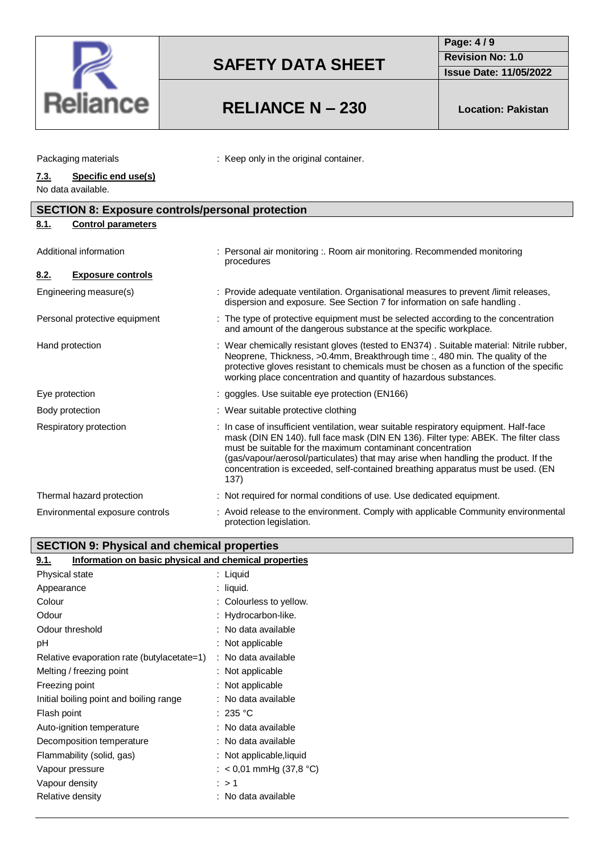

# **RELIANCE N – 230 Location: Pakistan**

**Page: 4 / 9 Revision No: 1.0**

**Issue Date: 11/05/2022**

| Packaging materials |                     | : Keep only in the original container. |
|---------------------|---------------------|----------------------------------------|
| 7.3.                | Specific end use(s) |                                        |

No data available.

L

| <b>SECTION 8: Exposure controls/personal protection</b> |  |                                                                                                                                                                                                                                                                                                                                                                                                                             |
|---------------------------------------------------------|--|-----------------------------------------------------------------------------------------------------------------------------------------------------------------------------------------------------------------------------------------------------------------------------------------------------------------------------------------------------------------------------------------------------------------------------|
| <b>Control parameters</b><br>8.1.                       |  |                                                                                                                                                                                                                                                                                                                                                                                                                             |
| Additional information                                  |  | Personal air monitoring :. Room air monitoring. Recommended monitoring<br>procedures                                                                                                                                                                                                                                                                                                                                        |
| <b>Exposure controls</b><br><u>8.2.</u>                 |  |                                                                                                                                                                                                                                                                                                                                                                                                                             |
| Engineering measure(s)                                  |  | : Provide adequate ventilation. Organisational measures to prevent /limit releases,<br>dispersion and exposure. See Section 7 for information on safe handling.                                                                                                                                                                                                                                                             |
| Personal protective equipment                           |  | : The type of protective equipment must be selected according to the concentration<br>and amount of the dangerous substance at the specific workplace.                                                                                                                                                                                                                                                                      |
| Hand protection                                         |  | : Wear chemically resistant gloves (tested to EN374). Suitable material: Nitrile rubber,<br>Neoprene, Thickness, >0.4mm, Breakthrough time:, 480 min. The quality of the<br>protective gloves resistant to chemicals must be chosen as a function of the specific<br>working place concentration and quantity of hazardous substances.                                                                                      |
| Eye protection                                          |  | : goggles. Use suitable eye protection (EN166)                                                                                                                                                                                                                                                                                                                                                                              |
| Body protection                                         |  | : Wear suitable protective clothing                                                                                                                                                                                                                                                                                                                                                                                         |
| Respiratory protection                                  |  | : In case of insufficient ventilation, wear suitable respiratory equipment. Half-face<br>mask (DIN EN 140). full face mask (DIN EN 136). Filter type: ABEK. The filter class<br>must be suitable for the maximum contaminant concentration<br>(gas/vapour/aerosol/particulates) that may arise when handling the product. If the<br>concentration is exceeded, self-contained breathing apparatus must be used. (EN<br>137) |
| Thermal hazard protection                               |  | : Not required for normal conditions of use. Use dedicated equipment.                                                                                                                                                                                                                                                                                                                                                       |
| Environmental exposure controls                         |  | : Avoid release to the environment. Comply with applicable Community environmental<br>protection legislation.                                                                                                                                                                                                                                                                                                               |

### **SECTION 9: Physical and chemical properties**

| Information on basic physical and chemical properties<br>9.1. |                           |  |  |  |
|---------------------------------------------------------------|---------------------------|--|--|--|
| Physical state                                                | : Liquid                  |  |  |  |
| Appearance                                                    | : liquid.                 |  |  |  |
| Colour                                                        | : Colourless to yellow.   |  |  |  |
| Odour                                                         | : Hydrocarbon-like.       |  |  |  |
| Odour threshold                                               | : No data available       |  |  |  |
| рH                                                            | : Not applicable          |  |  |  |
| Relative evaporation rate (butylacetate=1)                    | : No data available       |  |  |  |
| Melting / freezing point                                      | : Not applicable          |  |  |  |
| Freezing point                                                | : Not applicable          |  |  |  |
| Initial boiling point and boiling range                       | No data available         |  |  |  |
| Flash point                                                   | :235 °C                   |  |  |  |
| Auto-ignition temperature                                     | : No data available       |  |  |  |
| Decomposition temperature                                     | : No data available       |  |  |  |
| Flammability (solid, gas)                                     | : Not applicable, liquid  |  |  |  |
| Vapour pressure                                               | : $<$ 0,01 mmHg (37,8 °C) |  |  |  |
| Vapour density                                                | :>1                       |  |  |  |
| Relative density                                              | No data available         |  |  |  |
|                                                               |                           |  |  |  |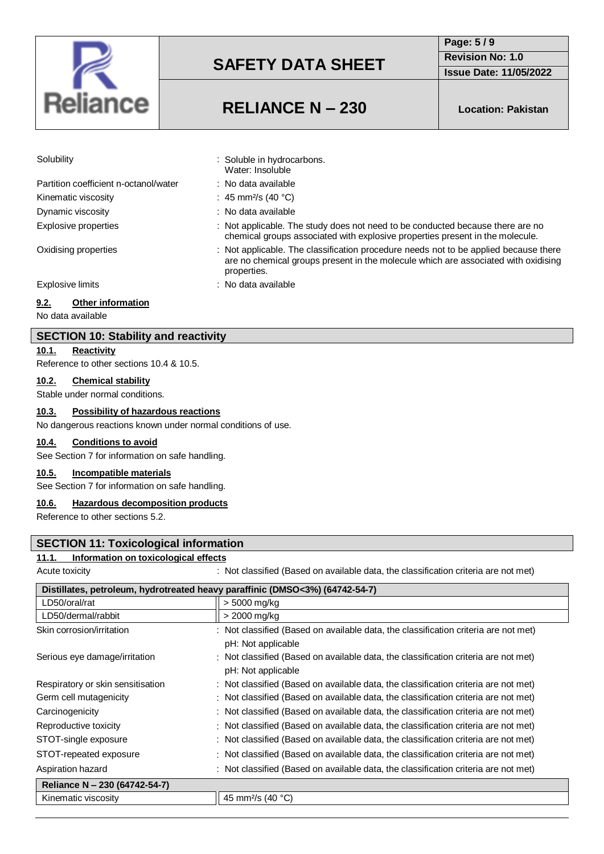

**Page: 5 / 9 Revision No: 1.0**

**Issue Date: 11/05/2022**

# **RELIANCE N – 230 Location: Pakistan**

chemical groups associated with explosive properties present in the molecule.

are no chemical groups present in the molecule which are associated with oxidising

Water: Insoluble

properties.

Solubility : Soluble in hydrocarbons.

Partition coefficient n-octanol/water : No data available Kinematic viscosity  $\therefore$  45 mm<sup>2</sup>/s (40 °C) Dynamic viscosity **in the set of the COV**: No data available Explosive properties : Not applicable. The study does not need to be conducted because there are no

Oxidising properties : Not applicable. The classification procedure needs not to be applied because there

Explosive limits **Explosive limits Explosive limits Explosive limits EXPLOSIVE 2** 

### **9.2. Other information**

No data available

#### **SECTION 10: Stability and reactivity**

**10.1. Reactivity**

Reference to other sections 10.4 & 10.5.

#### **10.2. Chemical stability**

Stable under normal conditions.

### **10.3. Possibility of hazardous reactions**

No dangerous reactions known under normal conditions of use.

#### **10.4. Conditions to avoid**

See Section 7 for information on safe handling.

#### **10.5. Incompatible materials**

See Section 7 for information on safe handling.

#### **10.6. Hazardous decomposition products**

Reference to other sections 5.2.

### **SECTION 11: Toxicological information**

#### **11.1. Information on toxicological effects**

Acute toxicity **interval on a set on available data**, the classification criteria are not met)

| Distillates, petroleum, hydrotreated heavy paraffinic (DMSO<3%) (64742-54-7) |                                                                                                           |  |  |
|------------------------------------------------------------------------------|-----------------------------------------------------------------------------------------------------------|--|--|
| LD50/oral/rat                                                                | > 5000 mg/kg                                                                                              |  |  |
| LD50/dermal/rabbit                                                           | > 2000 mg/kg                                                                                              |  |  |
| Skin corrosion/irritation                                                    | : Not classified (Based on available data, the classification criteria are not met)<br>pH: Not applicable |  |  |
| Serious eye damage/irritation                                                | : Not classified (Based on available data, the classification criteria are not met)<br>pH: Not applicable |  |  |
| Respiratory or skin sensitisation                                            | : Not classified (Based on available data, the classification criteria are not met)                       |  |  |
| Germ cell mutagenicity                                                       | : Not classified (Based on available data, the classification criteria are not met)                       |  |  |
| Carcinogenicity                                                              | : Not classified (Based on available data, the classification criteria are not met)                       |  |  |
| Reproductive toxicity                                                        | : Not classified (Based on available data, the classification criteria are not met)                       |  |  |
| STOT-single exposure                                                         | : Not classified (Based on available data, the classification criteria are not met)                       |  |  |
| STOT-repeated exposure                                                       | : Not classified (Based on available data, the classification criteria are not met)                       |  |  |
| Aspiration hazard                                                            | : Not classified (Based on available data, the classification criteria are not met)                       |  |  |
| Reliance N - 230 (64742-54-7)                                                |                                                                                                           |  |  |
| Kinematic viscosity                                                          | 45 mm <sup>2</sup> /s (40 °C)                                                                             |  |  |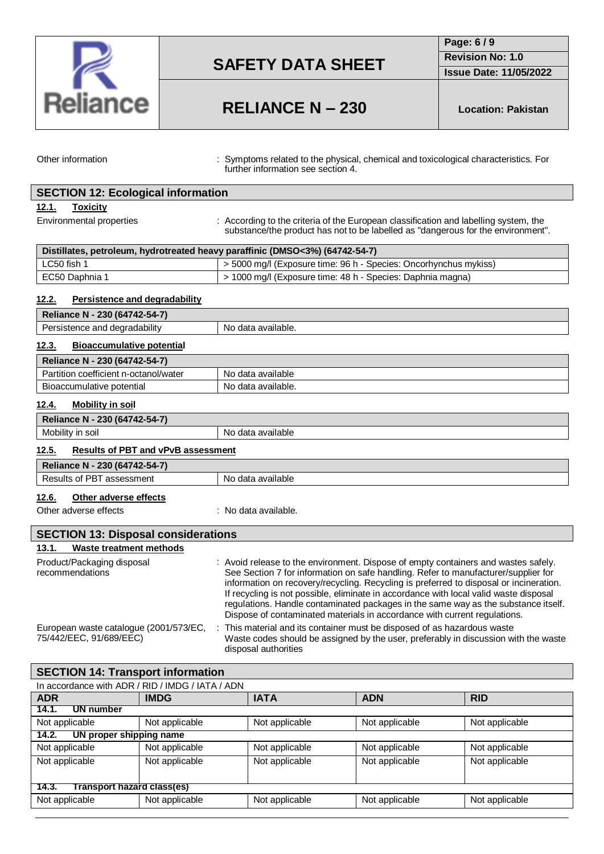

**Page: 6 / 9**

**Revision No: 1.0**

**Issue Date: 11/05/2022**

# **RELIANCE N – 230 Location: Pakistan**

Other information : Symptoms related to the physical, chemical and toxicological characteristics. For further information see section 4.

| <b>SECTION 12: Ecological information</b>                                    |                                                                                                                                                                                                                                                                                                                                                                                                                                                                                                                                |  |
|------------------------------------------------------------------------------|--------------------------------------------------------------------------------------------------------------------------------------------------------------------------------------------------------------------------------------------------------------------------------------------------------------------------------------------------------------------------------------------------------------------------------------------------------------------------------------------------------------------------------|--|
| <b>Toxicity</b><br>12.1.                                                     |                                                                                                                                                                                                                                                                                                                                                                                                                                                                                                                                |  |
| Environmental properties                                                     | : According to the criteria of the European classification and labelling system, the<br>substance/the product has not to be labelled as "dangerous for the environment".                                                                                                                                                                                                                                                                                                                                                       |  |
| Distillates, petroleum, hydrotreated heavy paraffinic (DMSO<3%) (64742-54-7) |                                                                                                                                                                                                                                                                                                                                                                                                                                                                                                                                |  |
| LC50 fish 1                                                                  | > 5000 mg/l (Exposure time: 96 h - Species: Oncorhynchus mykiss)                                                                                                                                                                                                                                                                                                                                                                                                                                                               |  |
| EC50 Daphnia 1                                                               | > 1000 mg/l (Exposure time: 48 h - Species: Daphnia magna)                                                                                                                                                                                                                                                                                                                                                                                                                                                                     |  |
| 12.2.<br>Persistence and degradability                                       |                                                                                                                                                                                                                                                                                                                                                                                                                                                                                                                                |  |
| Reliance N - 230 (64742-54-7)                                                |                                                                                                                                                                                                                                                                                                                                                                                                                                                                                                                                |  |
| Persistence and degradability                                                | No data available.                                                                                                                                                                                                                                                                                                                                                                                                                                                                                                             |  |
| 12.3.<br><b>Bioaccumulative potential</b>                                    |                                                                                                                                                                                                                                                                                                                                                                                                                                                                                                                                |  |
| Reliance N - 230 (64742-54-7)                                                |                                                                                                                                                                                                                                                                                                                                                                                                                                                                                                                                |  |
| Partition coefficient n-octanol/water                                        | No data available                                                                                                                                                                                                                                                                                                                                                                                                                                                                                                              |  |
| Bioaccumulative potential                                                    | No data available.                                                                                                                                                                                                                                                                                                                                                                                                                                                                                                             |  |
| <b>Mobility in soil</b><br><u>12.4.</u>                                      |                                                                                                                                                                                                                                                                                                                                                                                                                                                                                                                                |  |
| Reliance N - 230 (64742-54-7)                                                |                                                                                                                                                                                                                                                                                                                                                                                                                                                                                                                                |  |
| Mobility in soil                                                             | No data available                                                                                                                                                                                                                                                                                                                                                                                                                                                                                                              |  |
| <b>Results of PBT and vPvB assessment</b><br>12.5.                           |                                                                                                                                                                                                                                                                                                                                                                                                                                                                                                                                |  |
| Reliance N - 230 (64742-54-7)                                                |                                                                                                                                                                                                                                                                                                                                                                                                                                                                                                                                |  |
| Results of PBT assessment                                                    | No data available                                                                                                                                                                                                                                                                                                                                                                                                                                                                                                              |  |
| <u>12.6.</u><br>Other adverse effects                                        |                                                                                                                                                                                                                                                                                                                                                                                                                                                                                                                                |  |
| Other adverse effects                                                        | : No data available.                                                                                                                                                                                                                                                                                                                                                                                                                                                                                                           |  |
| <b>SECTION 13: Disposal considerations</b>                                   |                                                                                                                                                                                                                                                                                                                                                                                                                                                                                                                                |  |
| <b>Waste treatment methods</b><br>13.1.                                      |                                                                                                                                                                                                                                                                                                                                                                                                                                                                                                                                |  |
| Product/Packaging disposal<br>recommendations                                | : Avoid release to the environment. Dispose of empty containers and wastes safely.<br>See Section 7 for information on safe handling. Refer to manufacturer/supplier for<br>information on recovery/recycling. Recycling is preferred to disposal or incineration.<br>If recycling is not possible, eliminate in accordance with local valid waste disposal<br>regulations. Handle contaminated packages in the same way as the substance itself.<br>Dispose of contaminated materials in accordance with current regulations. |  |
| European waste catalogue (2001/573/EC,                                       | This material and its container must be disposed of as hazardous waste                                                                                                                                                                                                                                                                                                                                                                                                                                                         |  |

75/442/EEC, 91/689/EEC) Waste codes should be assigned by the user, preferably in discussion with the waste disposal authorities

### In accordance with ADR / RID / IMDG / IATA / ADN **ADR IMDG IATA ADN RID 14.1. UN number** Not applicable <br>Not applicable <br>Not applicable Not applicable Not applicable Not applicable **14.2. UN proper shipping name** Not applicable Not applicable Not applicable Not applicable Not applicable Not applicable Not applicable Not applicable Not applicable Not applicable Not applicable Not applicable **14.3. Transport hazard class(es)** Not applicable  $\vert$  Not applicable  $\vert$  Not applicable  $\vert$  Not applicable  $\vert$  Not applicable **SECTION 14: Transport information**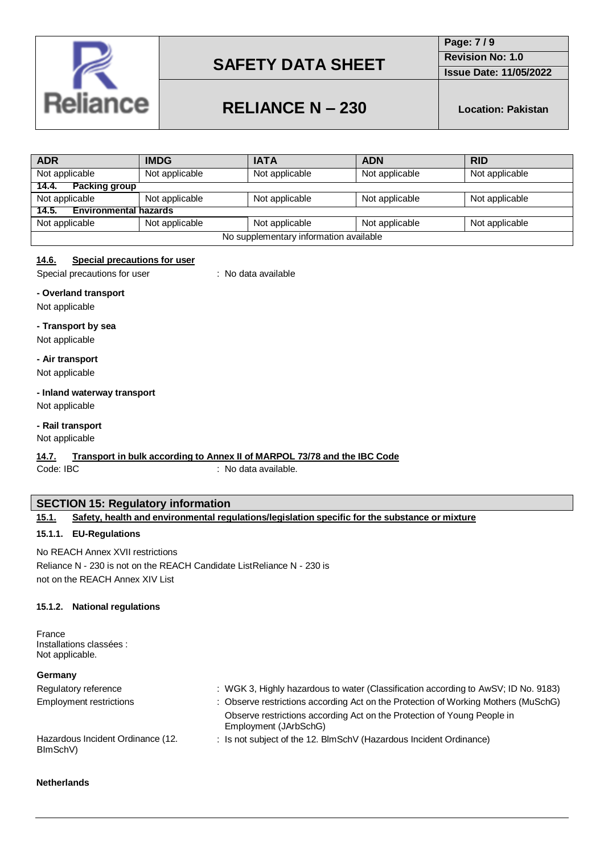

**Page: 7 / 9 Revision No: 1.0**

**Issue Date: 11/05/2022**

# **RELIANCE N – 230 Location: Pakistan**

| <b>ADR</b>                             | <b>IMDG</b>    | <b>IATA</b>    | <b>ADN</b>     | <b>RID</b>     |
|----------------------------------------|----------------|----------------|----------------|----------------|
| Not applicable                         | Not applicable | Not applicable | Not applicable | Not applicable |
| <b>Packing group</b><br>14.4.          |                |                |                |                |
| Not applicable                         | Not applicable | Not applicable | Not applicable | Not applicable |
| <b>Environmental hazards</b><br>14.5.  |                |                |                |                |
| Not applicable                         | Not applicable | Not applicable | Not applicable | Not applicable |
| No supplementary information available |                |                |                |                |

### **14.6. Special precautions for user**

Special precautions for user : No data available

#### **- Overland transport**

Not applicable

#### **- Transport by sea**

Not applicable

#### **- Air transport**

Not applicable

## **- Inland waterway transport**

Not applicable

## **- Rail transport**

Not applicable

### **14.7. Transport in bulk according to Annex II of MARPOL 73/78 and the IBC Code**

Code: IBC : No data available.

### **SECTION 15: Regulatory information**

| Safety, health and environmental regulations/legislation specific for the substance or mixture<br>15.1. |  |
|---------------------------------------------------------------------------------------------------------|--|
|---------------------------------------------------------------------------------------------------------|--|

#### **15.1.1. EU-Regulations**

No REACH Annex XVII restrictions Reliance N - 230 is not on the REACH Candidate ListReliance N - 230 is not on the REACH Annex XIV List

#### **15.1.2. National regulations**

France Installations classées : Not applicable.

### **Germany**

| Germany                                       |                                                                                                  |
|-----------------------------------------------|--------------------------------------------------------------------------------------------------|
| Regulatory reference                          | : WGK 3, Highly hazardous to water (Classification according to AwSV; ID No. 9183)               |
| Employment restrictions                       | : Observe restrictions according Act on the Protection of Working Mothers (MuSchG)               |
|                                               | Observe restrictions according Act on the Protection of Young People in<br>Employment (JArbSchG) |
| Hazardous Incident Ordinance (12.<br>BlmSchV) | : Is not subject of the 12. BlmSchV (Hazardous Incident Ordinance)                               |

#### **Netherlands**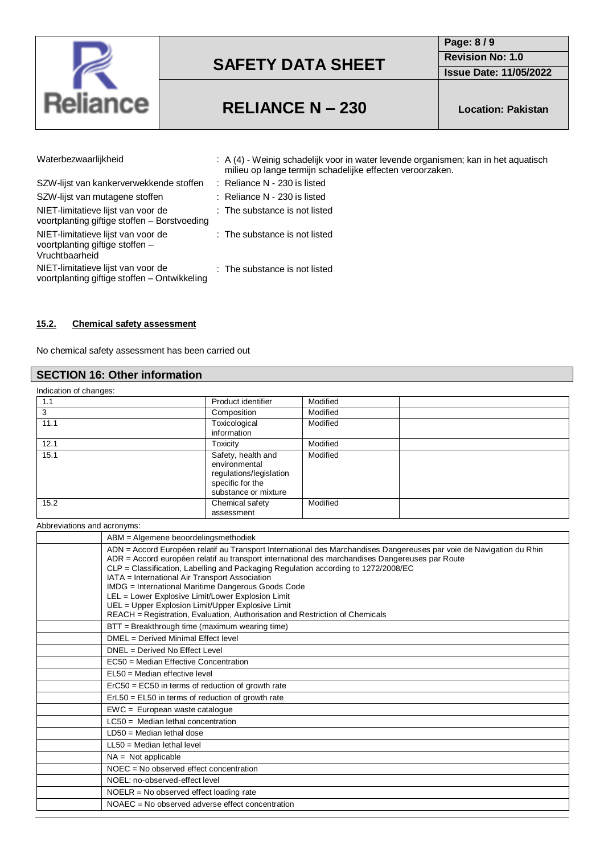

**Page: 8 / 9 Revision No: 1.0**

**Issue Date: 11/05/2022**

## **RELIANCE N – 230 Location: Pakistan**

| Waterbezwaarlijkheid                                                                    | : A (4) - Weinig schadelijk voor in water levende organismen; kan in het aquatisch<br>milieu op lange termijn schadelijke effecten veroorzaken. |
|-----------------------------------------------------------------------------------------|-------------------------------------------------------------------------------------------------------------------------------------------------|
| SZW-lijst van kankerverwekkende stoffen                                                 | $:$ Reliance N - 230 is listed                                                                                                                  |
| SZW-lijst van mutagene stoffen                                                          | $:$ Reliance N - 230 is listed                                                                                                                  |
| NIET-limitatieve lijst van voor de<br>voortplanting giftige stoffen - Borstvoeding      | : The substance is not listed                                                                                                                   |
| NIET-limitatieve lijst van voor de<br>voortplanting giftige stoffen -<br>Vruchtbaarheid | : The substance is not listed                                                                                                                   |
| NIET-limitatieve lijst van voor de<br>voortplanting giftige stoffen - Ontwikkeling      | $:$ The substance is not listed                                                                                                                 |

### **15.2. Chemical safety assessment**

No chemical safety assessment has been carried out

### **SECTION 16: Other information**

| Indication of changes: |                                                                                                            |          |  |
|------------------------|------------------------------------------------------------------------------------------------------------|----------|--|
| 1.1                    | Product identifier                                                                                         | Modified |  |
| 3                      | Composition                                                                                                | Modified |  |
| 11.1                   | Toxicological<br>information                                                                               | Modified |  |
| 12.1                   | <b>Toxicity</b>                                                                                            | Modified |  |
| 15.1                   | Safety, health and<br>environmental<br>regulations/legislation<br>specific for the<br>substance or mixture | Modified |  |
| 15.2                   | Chemical safety<br>assessment                                                                              | Modified |  |

Abbreviations and acronyms:

| ABM = Algemene beoordelingsmethodiek                                                                                                                                                                                                                                                                                                                                                                                                                                                                                                                                                                            |
|-----------------------------------------------------------------------------------------------------------------------------------------------------------------------------------------------------------------------------------------------------------------------------------------------------------------------------------------------------------------------------------------------------------------------------------------------------------------------------------------------------------------------------------------------------------------------------------------------------------------|
| ADN = Accord Européen relatif au Transport International des Marchandises Dangereuses par voie de Navigation du Rhin<br>ADR = Accord européen relatif au transport international des marchandises Dangereuses par Route<br>CLP = Classification, Labelling and Packaging Regulation according to 1272/2008/EC<br>IATA = International Air Transport Association<br>IMDG = International Maritime Dangerous Goods Code<br>LEL = Lower Explosive Limit/Lower Explosion Limit<br>UEL = Upper Explosion Limit/Upper Explosive Limit<br>REACH = Registration, Evaluation, Authorisation and Restriction of Chemicals |
| BTT = Breakthrough time (maximum wearing time)                                                                                                                                                                                                                                                                                                                                                                                                                                                                                                                                                                  |
| DMEL = Derived Minimal Effect level                                                                                                                                                                                                                                                                                                                                                                                                                                                                                                                                                                             |
| DNEL = Derived No Effect Level                                                                                                                                                                                                                                                                                                                                                                                                                                                                                                                                                                                  |
| EC50 = Median Effective Concentration                                                                                                                                                                                                                                                                                                                                                                                                                                                                                                                                                                           |
| $EL50 = Median$ effective level                                                                                                                                                                                                                                                                                                                                                                                                                                                                                                                                                                                 |
| $E0 = E0 = E0$ in terms of reduction of growth rate                                                                                                                                                                                                                                                                                                                                                                                                                                                                                                                                                             |
| $ErL50 = EL50$ in terms of reduction of growth rate                                                                                                                                                                                                                                                                                                                                                                                                                                                                                                                                                             |
| $EWC = European waste catalogue$                                                                                                                                                                                                                                                                                                                                                                                                                                                                                                                                                                                |
| $LC50$ = Median lethal concentration                                                                                                                                                                                                                                                                                                                                                                                                                                                                                                                                                                            |
| $LD50 = Median$ lethal dose                                                                                                                                                                                                                                                                                                                                                                                                                                                                                                                                                                                     |
| $LL50 = Median$ lethal level                                                                                                                                                                                                                                                                                                                                                                                                                                                                                                                                                                                    |
| $NA = Not applicable$                                                                                                                                                                                                                                                                                                                                                                                                                                                                                                                                                                                           |
| NOEC = No observed effect concentration                                                                                                                                                                                                                                                                                                                                                                                                                                                                                                                                                                         |
| NOEL: no-observed-effect level                                                                                                                                                                                                                                                                                                                                                                                                                                                                                                                                                                                  |
| $NOELR = No observed effect loading rate$                                                                                                                                                                                                                                                                                                                                                                                                                                                                                                                                                                       |
| NOAEC = No observed adverse effect concentration                                                                                                                                                                                                                                                                                                                                                                                                                                                                                                                                                                |